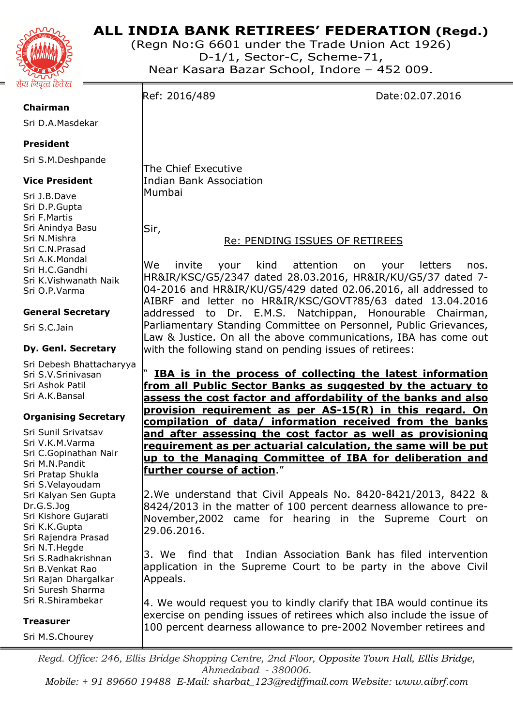

# **ALL INDIA BANK RETIREES' FEDERATION (Regd.)**

(Regn No:G 6601 under the Trade Union Act 1926) D-1/1, Sector-C, Scheme-71, Near Kasara Bazar School, Indore – 452 009.

Ref: 2016/489 Date:02.07.2016

**Chairman** 

Sri D.A.Masdekar

## **President**

Sri S.M.Deshpande

## **Vice President**

Sri J.B.Dave Sri D.P.Gupta Sri F.Martis Sri Anindya Basu Sri N.Mishra Sri C.N.Prasad Sri A.K.Mondal Sri H.C.Gandhi Sri K.Vishwanath Naik Sri O.P.Varma

## **General Secretary**

Sri S.C.Jain

### **Dy. Genl. Secretary**

Sri Debesh Bhattacharyya Sri S.V.Srinivasan Sri Ashok Patil Sri A.K.Bansal

## **Organising Secretary**

Sri Sunil Srivatsav Sri V.K.M.Varma Sri C.Gopinathan Nair Sri M.N.Pandit Sri Pratap Shukla Sri S.Velayoudam Sri Kalyan Sen Gupta Dr.G.S.Jog Sri Kishore Gujarati Sri K.K.Gupta Sri Rajendra Prasad Sri N.T.Hegde Sri S.Radhakrishnan Sri B.Venkat Rao Sri Rajan Dhargalkar Sri Suresh Sharma Sri R.Shirambekar

#### **Treasurer**

Sri M.S.Chourey

The Chief Executive Indian Bank Association

Mumbai

Sir,

# Re: PENDING ISSUES OF RETIREES

We invite your kind attention on your letters nos. HR&IR/KSC/G5/2347 dated 28.03.2016, HR&IR/KU/G5/37 dated 7- 04-2016 and HR&IR/KU/G5/429 dated 02.06.2016, all addressed to AIBRF and letter no HR&IR/KSC/GOVT?85/63 dated 13.04.2016 addressed to Dr. E.M.S. Natchippan, Honourable Chairman, Parliamentary Standing Committee on Personnel, Public Grievances, Law & Justice. On all the above communications, IBA has come out with the following stand on pending issues of retirees:

" **IBA is in the process of collecting the latest information from all Public Sector Banks as suggested by the actuary to assess the cost factor and affordability of the banks and also provision requirement as per AS-15(R) in this regard. On compilation of data/ information received from the banks and after assessing the cost factor as well as provisioning requirement as per actuarial calculation, the same will be put up to the Managing Committee of IBA for deliberation and further course of action**."

2.We understand that Civil Appeals No. 8420-8421/2013, 8422 & 8424/2013 in the matter of 100 percent dearness allowance to pre-November,2002 came for hearing in the Supreme Court on 29.06.2016.

3. We find that Indian Association Bank has filed intervention application in the Supreme Court to be party in the above Civil Appeals.

4. We would request you to kindly clarify that IBA would continue its exercise on pending issues of retirees which also include the issue of 100 percent dearness allowance to pre-2002 November retirees and

*Regd. Office: 246, Ellis Bridge Shopping Centre, 2nd Floor, Opposite Town Hall, Ellis Bridge, Ahmedabad - 380006.* 

*Mobile: + 91 89660 19488 E-Mail: sharbat\_123@rediffmail.com Website: www.aibrf.com*